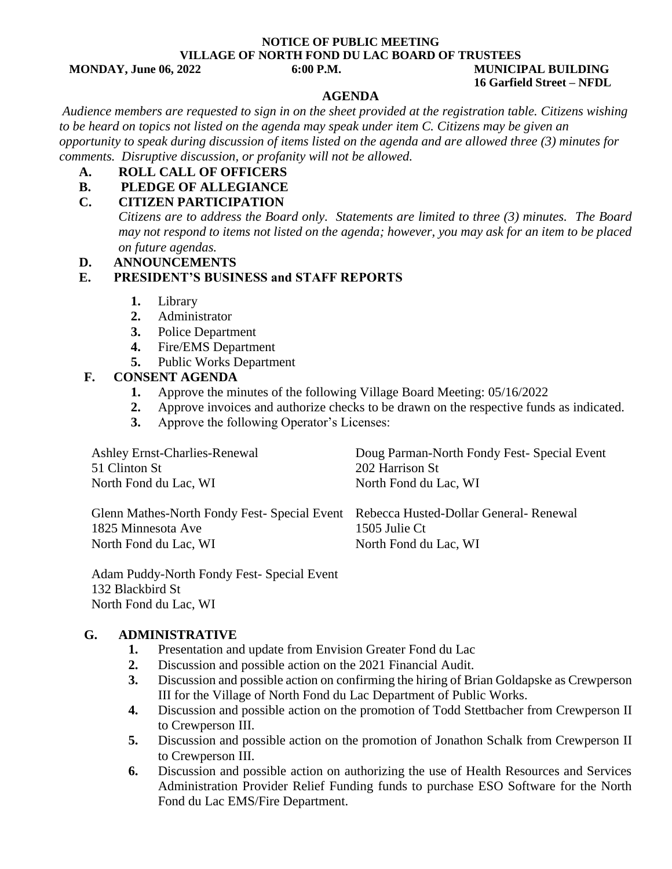#### **NOTICE OF PUBLIC MEETING VILLAGE OF NORTH FOND DU LAC BOARD OF TRUSTEES MONDAY, June 06, 2022 6:00 P.M. MUNICIPAL BUILDING**

# **16 Garfield Street – NFDL**

#### **AGENDA**

 *Audience members are requested to sign in on the sheet provided at the registration table. Citizens wishing to be heard on topics not listed on the agenda may speak under item C. Citizens may be given an opportunity to speak during discussion of items listed on the agenda and are allowed three (3) minutes for comments. Disruptive discussion, or profanity will not be allowed.*

#### **A. ROLL CALL OF OFFICERS**

#### **B. PLEDGE OF ALLEGIANCE**

### **C. CITIZEN PARTICIPATION**

*Citizens are to address the Board only. Statements are limited to three (3) minutes. The Board may not respond to items not listed on the agenda; however, you may ask for an item to be placed on future agendas.* 

**D. ANNOUNCEMENTS**

#### **E. PRESIDENT'S BUSINESS and STAFF REPORTS**

- **1.** Library
- **2.** Administrator
- **3.** Police Department
- **4.** Fire/EMS Department
- **5.** Public Works Department

#### **F. CONSENT AGENDA**

- **1.** Approve the minutes of the following Village Board Meeting: 05/16/2022
- **2.** Approve invoices and authorize checks to be drawn on the respective funds as indicated.
- **3.** Approve the following Operator's Licenses:

| Ashley Ernst-Charlies-Renewal<br>51 Clinton St<br>North Fond du Lac, WI                                  | Doug Parman-North Fondy Fest-Special Event<br>202 Harrison St<br>North Fond du Lac, WI |
|----------------------------------------------------------------------------------------------------------|----------------------------------------------------------------------------------------|
| Glenn Mathes-North Fondy Fest- Special Event Rebecca Husted-Dollar General-Renewal<br>1825 Minnesota Ave | 1505 Julie Ct                                                                          |
| North Fond du Lac, WI                                                                                    | North Fond du Lac, WI                                                                  |

Adam Puddy-North Fondy Fest- Special Event 132 Blackbird St North Fond du Lac, WI

#### **G. ADMINISTRATIVE**

- **1.** Presentation and update from Envision Greater Fond du Lac
- **2.** Discussion and possible action on the 2021 Financial Audit.
- **3.** Discussion and possible action on confirming the hiring of Brian Goldapske as Crewperson III for the Village of North Fond du Lac Department of Public Works.
- **4.** Discussion and possible action on the promotion of Todd Stettbacher from Crewperson II to Crewperson III.
- **5.** Discussion and possible action on the promotion of Jonathon Schalk from Crewperson II to Crewperson III.
- **6.** Discussion and possible action on authorizing the use of Health Resources and Services Administration Provider Relief Funding funds to purchase ESO Software for the North Fond du Lac EMS/Fire Department.